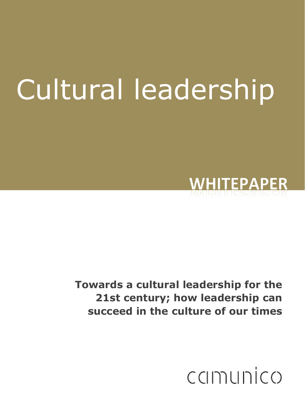# Cultural leadership



Towards a cultural leadership for the 21st century; how leadership can succeed in the culture of our times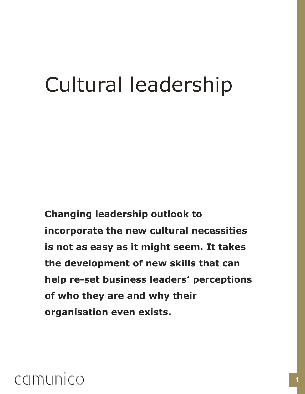## Cultural leadership

Changing leadership outlook to incorporate the new cultural necessities is not as easy as it might seem. It takes the development of new skills that can help re-set business leaders' perceptions of who they are and why their organisation even exists.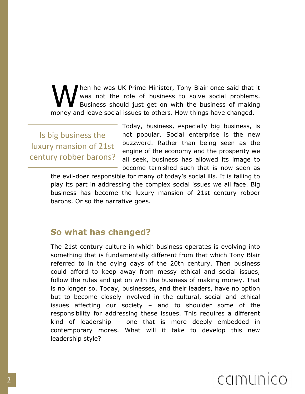hen he was UK Prime Minister, Tony Blair once said that it was not the role of business to solve social problems. Business should just get on with the business of making M hen he was UK Prime Minister, Tony Blair once said that was not the role of business to solve social problems.<br>Business should just get on with the business of makin money and leave social issues to others. How things ha

Is big business the luxury mansion of 21st century robber barons? Today, business, especially big business, is not popular. Social enterprise is the new buzzword. Rather than being seen as the engine of the economy and the prosperity we all seek, business has allowed its image to become tarnished such that is now seen as

the evil-doer responsible for many of today's social ills. It is failing to play its part in addressing the complex social issues we all face. Big business has become the luxury mansion of 21st century robber barons. Or so the narrative goes.

#### So what has changed?

The 21st century culture in which business operates is evolving into something that is fundamentally different from that which Tony Blair referred to in the dying days of the 20th century. Then business could afford to keep away from messy ethical and social issues, follow the rules and get on with the business of making money. That is no longer so. Today, businesses, and their leaders, have no option but to become closely involved in the cultural, social and ethical issues affecting our society – and to shoulder some of the responsibility for addressing these issues. This requires a different kind of leadership – one that is more deeply embedded in contemporary mores. What will it take to develop this new leadership style?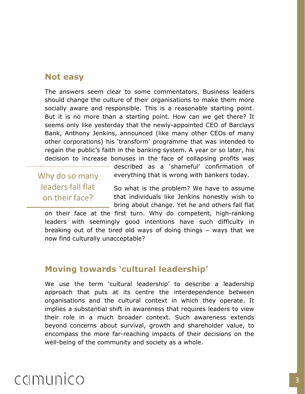#### Not easy

The answers seem clear to some commentators. Business leaders should change the culture of their organisations to make them more socially aware and responsible. This is a reasonable starting point. But it is no more than a starting point. How can we get there? It seems only like yesterday that the newly-appointed CEO of Barclays Bank, Anthony Jenkins, announced (like many other CEOs of many other corporations) his 'transform' programme that was intended to regain the public's faith in the banking system. A year or so later, his decision to increase bonuses in the face of collapsing profits was

Why do so many leaders fall flat on their face?

described as a 'shameful' confirmation of everything that is wrong with bankers today.

So what is the problem? We have to assume that individuals like Jenkins honestly wish to bring about change. Yet he and others fall flat

on their face at the first turn. Why do competent, high-ranking leaders with seemingly good intentions have such difficulty in breaking out of the tired old ways of doing things – ways that we now find culturally unacceptable?

#### Moving towards 'cultural leadership'

We use the term 'cultural leadership' to describe a leadership approach that puts at its centre the interdependence between organisations and the cultural context in which they operate. It implies a substantial shift in awareness that requires leaders to view their role in a much broader context. Such awareness extends beyond concerns about survival, growth and shareholder value, to encompass the more far-reaching impacts of their decisions on the well-being of the community and society as a whole.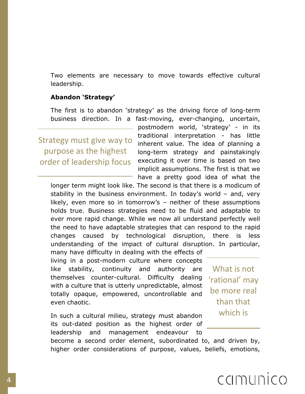Two elements are necessary to move towards effective cultural leadership.

#### Abandon 'Strategy'

The first is to abandon 'strategy' as the driving force of long-term business direction. In a fast-moving, ever-changing, uncertain,

Strategy must give way to purpose as the highest order of leadership focus

postmodern world, 'strategy' - in its traditional interpretation - has little inherent value. The idea of planning a long-term strategy and painstakingly executing it over time is based on two implicit assumptions. The first is that we have a pretty good idea of what the

longer term might look like. The second is that there is a modicum of stability in the business environment. In today's world – and, very likely, even more so in tomorrow's – neither of these assumptions holds true. Business strategies need to be fluid and adaptable to ever more rapid change. While we now all understand perfectly well the need to have adaptable strategies that can respond to the rapid changes caused by technological disruption, there is less understanding of the impact of cultural disruption. In particular,

many have difficulty in dealing with the effects of living in a post-modern culture where concepts like stability, continuity and authority are themselves counter-cultural. Difficulty dealing with a culture that is utterly unpredictable, almost totally opaque, empowered, uncontrollable and even chaotic.

In such a cultural milieu, strategy must abandon its out-dated position as the highest order of leadership and management endeavour to

become a second order element, subordinated to, and driven by, higher order considerations of purpose, values, beliefs, emotions,

What is not 'rational' may be more real than that which is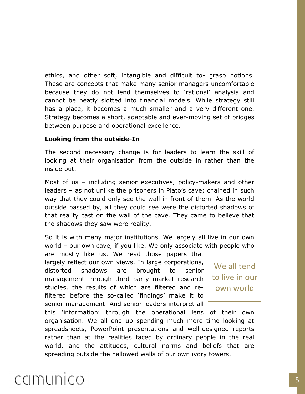ethics, and other soft, intangible and difficult to- grasp notions. These are concepts that make many senior managers uncomfortable because they do not lend themselves to 'rational' analysis and cannot be neatly slotted into financial models. While strategy still has a place, it becomes a much smaller and a very different one. Strategy becomes a short, adaptable and ever-moving set of bridges between purpose and operational excellence.

#### Looking from the outside-In

The second necessary change is for leaders to learn the skill of looking at their organisation from the outside in rather than the inside out.

Most of us – including senior executives, policy-makers and other leaders – as not unlike the prisoners in Plato's cave; chained in such way that they could only see the wall in front of them. As the world outside passed by, all they could see were the distorted shadows of that reality cast on the wall of the cave. They came to believe that the shadows they saw were reality.

So it is with many major institutions. We largely all live in our own world – our own cave, if you like. We only associate with people who

are mostly like us. We read those papers that largely reflect our own views. In large corporations, distorted shadows are brought to senior management through third party market research studies, the results of which are filtered and refiltered before the so-called 'findings' make it to senior management. And senior leaders interpret all

We all tend to live in our own world

this 'information' through the operational lens of their own organisation. We all end up spending much more time looking at spreadsheets, PowerPoint presentations and well-designed reports rather than at the realities faced by ordinary people in the real world, and the attitudes, cultural norms and beliefs that are spreading outside the hallowed walls of our own ivory towers.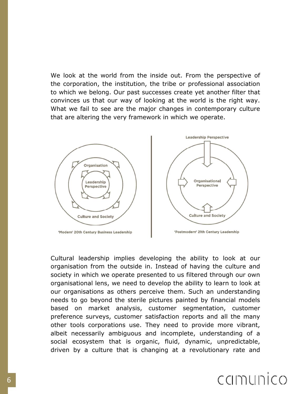We look at the world from the inside out. From the perspective of the corporation, the institution, the tribe or professional association to which we belong. Our past successes create yet another filter that convinces us that our way of looking at the world is the right way. What we fail to see are the major changes in contemporary culture that are altering the very framework in which we operate.



Cultural leadership implies developing the ability to look at our organisation from the outside in. Instead of having the culture and society in which we operate presented to us filtered through our own organisational lens, we need to develop the ability to learn to look at our organisations as others perceive them. Such an understanding needs to go beyond the sterile pictures painted by financial models based on market analysis, customer segmentation, customer preference surveys, customer satisfaction reports and all the many other tools corporations use. They need to provide more vibrant, albeit necessarily ambiguous and incomplete, understanding of a social ecosystem that is organic, fluid, dynamic, unpredictable, driven by a culture that is changing at a revolutionary rate and

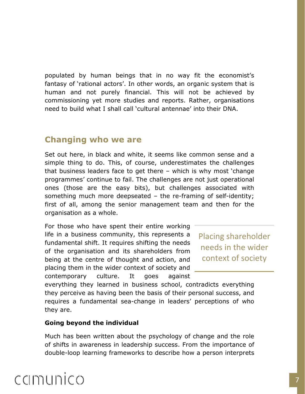populated by human beings that in no way fit the economist's fantasy of 'rational actors'. In other words, an organic system that is human and not purely financial. This will not be achieved by commissioning yet more studies and reports. Rather, organisations need to build what I shall call 'cultural antennae' into their DNA.

#### Changing who we are

Set out here, in black and white, it seems like common sense and a simple thing to do. This, of course, underestimates the challenges that business leaders face to get there – which is why most 'change programmes' continue to fail. The challenges are not just operational ones (those are the easy bits), but challenges associated with something much more deepseated – the re-framing of self-identity; first of all, among the senior management team and then for the organisation as a whole.

For those who have spent their entire working life in a business community, this represents a fundamental shift. It requires shifting the needs of the organisation and its shareholders from being at the centre of thought and action, and placing them in the wider context of society and contemporary culture. It goes against

Placing shareholder needs in the wider context of society

everything they learned in business school, contradicts everything they perceive as having been the basis of their personal success, and requires a fundamental sea-change in leaders' perceptions of who they are.

#### Going beyond the individual

Much has been written about the psychology of change and the role of shifts in awareness in leadership success. From the importance of double-loop learning frameworks to describe how a person interprets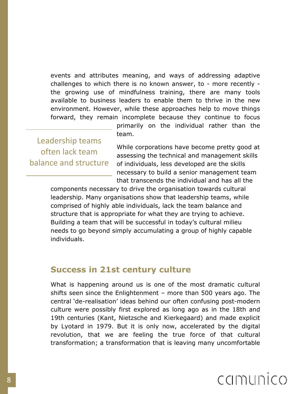events and attributes meaning, and ways of addressing adaptive challenges to which there is no known answer, to - more recently the growing use of mindfulness training, there are many tools available to business leaders to enable them to thrive in the new environment. However, while these approaches help to move things forward, they remain incomplete because they continue to focus

Leadership teams often lack team balance and structure primarily on the individual rather than the team.

While corporations have become pretty good at assessing the technical and management skills of individuals, less developed are the skills necessary to build a senior management team that transcends the individual and has all the

components necessary to drive the organisation towards cultural leadership. Many organisations show that leadership teams, while comprised of highly able individuals, lack the team balance and structure that is appropriate for what they are trying to achieve. Building a team that will be successful in today's cultural milieu needs to go beyond simply accumulating a group of highly capable individuals.

#### Success in 21st century culture

What is happening around us is one of the most dramatic cultural shifts seen since the Enlightenment – more than 500 years ago. The central 'de-realisation' ideas behind our often confusing post-modern culture were possibly first explored as long ago as in the 18th and 19th centuries (Kant, Nietzsche and Kierkegaard) and made explicit by Lyotard in 1979. But it is only now, accelerated by the digital revolution, that we are feeling the true force of that cultural transformation; a transformation that is leaving many uncomfortable

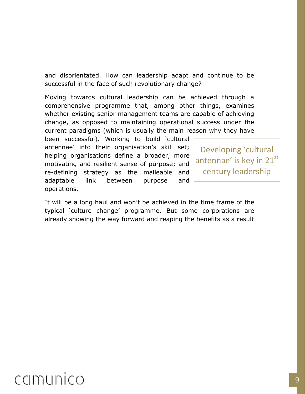and disorientated. How can leadership adapt and continue to be successful in the face of such revolutionary change?

Moving towards cultural leadership can be achieved through a comprehensive programme that, among other things, examines whether existing senior management teams are capable of achieving change, as opposed to maintaining operational success under the current paradigms (which is usually the main reason why they have

been successful). Working to build 'cultural antennae' into their organisation's skill set; helping organisations define a broader, more motivating and resilient sense of purpose; and re-defining strategy as the malleable and adaptable link between purpose and operations.

Developing 'cultural antennae' is key in 21st century leadership

It will be a long haul and won't be achieved in the time frame of the typical 'culture change' programme. But some corporations are already showing the way forward and reaping the benefits as a result